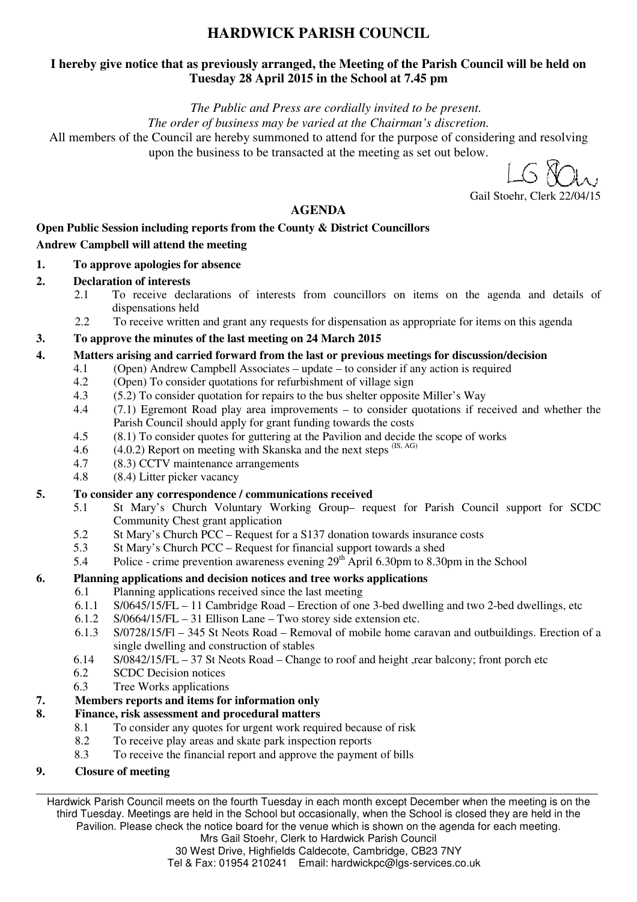# **HARDWICK PARISH COUNCIL**

#### **I hereby give notice that as previously arranged, the Meeting of the Parish Council will be held on Tuesday 28 April 2015 in the School at 7.45 pm**

*The Public and Press are cordially invited to be present.* 

*The order of business may be varied at the Chairman's discretion.* 

All members of the Council are hereby summoned to attend for the purpose of considering and resolving upon the business to be transacted at the meeting as set out below.

Gail Stoehr, Clerk 22/04/15

#### **AGENDA**

### **Open Public Session including reports from the County & District Councillors Andrew Campbell will attend the meeting**

- **1. To approve apologies for absence**
- **2. Declaration of interests** 
	- 2.1 To receive declarations of interests from councillors on items on the agenda and details of dispensations held
	- 2.2 To receive written and grant any requests for dispensation as appropriate for items on this agenda

#### **3. To approve the minutes of the last meeting on 24 March 2015**

- **4. Matters arising and carried forward from the last or previous meetings for discussion/decision** 
	- 4.1 (Open) Andrew Campbell Associates update to consider if any action is required
	- 4.2 (Open) To consider quotations for refurbishment of village sign 4.3 (5.2) To consider quotation for repairs to the bus shelter opposite
	- 4.3 (5.2) To consider quotation for repairs to the bus shelter opposite Miller's Way
	- 4.4 (7.1) Egremont Road play area improvements to consider quotations if received and whether the Parish Council should apply for grant funding towards the costs
	- 4.5 (8.1) To consider quotes for guttering at the Pavilion and decide the scope of works
	- 4.6  $(4.0.2)$  Report on meeting with Skanska and the next steps  $(S, AG)$
	- 4.7 (8.3) CCTV maintenance arrangements
	- 4.8 (8.4) Litter picker vacancy

#### **5. To consider any correspondence / communications received**

- 5.1 St Mary's Church Voluntary Working Group– request for Parish Council support for SCDC Community Chest grant application
- 5.2 St Mary's Church PCC Request for a S137 donation towards insurance costs
- 5.3 St Mary's Church PCC Request for financial support towards a shed
- 5.4 Police crime prevention awareness evening 29th April 6.30pm to 8.30pm in the School

#### **6. Planning applications and decision notices and tree works applications**

- 6.1 Planning applications received since the last meeting
	- 6.1.1 S/0645/15/FL 11 Cambridge Road Erection of one 3-bed dwelling and two 2-bed dwellings, etc 6.1.2 S/0664/15/FL 31 Ellison Lane Two storev side extension etc.
	- $S/0664/15/FL 31$  Ellison Lane Two storey side extension etc.
	- 6.1.3 S/0728/15/Fl 345 St Neots Road Removal of mobile home caravan and outbuildings. Erection of a single dwelling and construction of stables
- 6.14 S/0842/15/FL 37 St Neots Road Change to roof and height ,rear balcony; front porch etc
- 6.2 SCDC Decision notices
- 6.3 Tree Works applications

#### **7. Members reports and items for information only**

#### **8. Finance, risk assessment and procedural matters**

- 8.1 To consider any quotes for urgent work required because of risk
- 8.2 To receive play areas and skate park inspection reports
- 8.3 To receive the financial report and approve the payment of bills

#### **9. Closure of meeting**

Hardwick Parish Council meets on the fourth Tuesday in each month except December when the meeting is on the third Tuesday. Meetings are held in the School but occasionally, when the School is closed they are held in the Pavilion. Please check the notice board for the venue which is shown on the agenda for each meeting.

> Mrs Gail Stoehr, Clerk to Hardwick Parish Council 30 West Drive, Highfields Caldecote, Cambridge, CB23 7NY Tel & Fax: 01954 210241 Email: hardwickpc@lgs-services.co.uk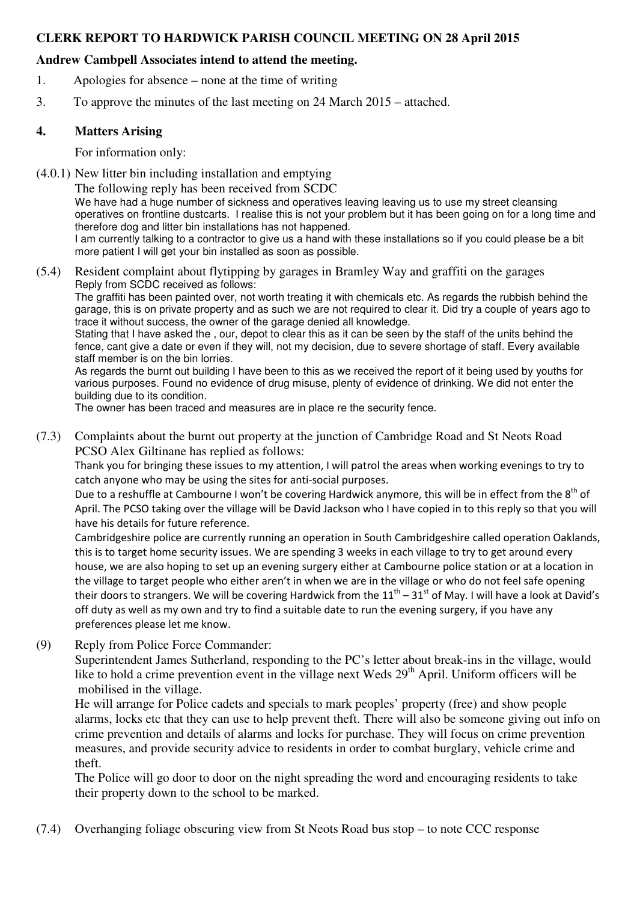#### **CLERK REPORT TO HARDWICK PARISH COUNCIL MEETING ON 28 April 2015**

#### **Andrew Cambpell Associates intend to attend the meeting.**

- 1. Apologies for absence none at the time of writing
- 3. To approve the minutes of the last meeting on 24 March 2015 attached.

#### **4. Matters Arising**

For information only:

(4.0.1) New litter bin including installation and emptying

The following reply has been received from SCDC

We have had a huge number of sickness and operatives leaving leaving us to use my street cleansing operatives on frontline dustcarts. I realise this is not your problem but it has been going on for a long time and therefore dog and litter bin installations has not happened.

I am currently talking to a contractor to give us a hand with these installations so if you could please be a bit more patient I will get your bin installed as soon as possible.

(5.4) Resident complaint about flytipping by garages in Bramley Way and graffiti on the garages Reply from SCDC received as follows:

The graffiti has been painted over, not worth treating it with chemicals etc. As regards the rubbish behind the garage, this is on private property and as such we are not required to clear it. Did try a couple of years ago to trace it without success, the owner of the garage denied all knowledge.

Stating that I have asked the , our, depot to clear this as it can be seen by the staff of the units behind the fence, cant give a date or even if they will, not my decision, due to severe shortage of staff. Every available staff member is on the bin lorries.

As regards the burnt out building I have been to this as we received the report of it being used by youths for various purposes. Found no evidence of drug misuse, plenty of evidence of drinking. We did not enter the building due to its condition.

The owner has been traced and measures are in place re the security fence.

(7.3) Complaints about the burnt out property at the junction of Cambridge Road and St Neots Road PCSO Alex Giltinane has replied as follows:

Thank you for bringing these issues to my attention, I will patrol the areas when working evenings to try to catch anyone who may be using the sites for anti-social purposes.

Due to a reshuffle at Cambourne I won't be covering Hardwick anymore, this will be in effect from the 8<sup>th</sup> of April. The PCSO taking over the village will be David Jackson who I have copied in to this reply so that you will have his details for future reference.

Cambridgeshire police are currently running an operation in South Cambridgeshire called operation Oaklands, this is to target home security issues. We are spending 3 weeks in each village to try to get around every house, we are also hoping to set up an evening surgery either at Cambourne police station or at a location in the village to target people who either aren't in when we are in the village or who do not feel safe opening their doors to strangers. We will be covering Hardwick from the  $11<sup>th</sup> - 31<sup>st</sup>$  of May. I will have a look at David's off duty as well as my own and try to find a suitable date to run the evening surgery, if you have any preferences please let me know.

(9) Reply from Police Force Commander:

Superintendent James Sutherland, responding to the PC's letter about break-ins in the village, would like to hold a crime prevention event in the village next Weds  $29<sup>th</sup>$  April. Uniform officers will be mobilised in the village.

He will arrange for Police cadets and specials to mark peoples' property (free) and show people alarms, locks etc that they can use to help prevent theft. There will also be someone giving out info on crime prevention and details of alarms and locks for purchase. They will focus on crime prevention measures, and provide security advice to residents in order to combat burglary, vehicle crime and theft.

The Police will go door to door on the night spreading the word and encouraging residents to take their property down to the school to be marked.

(7.4) Overhanging foliage obscuring view from St Neots Road bus stop – to note CCC response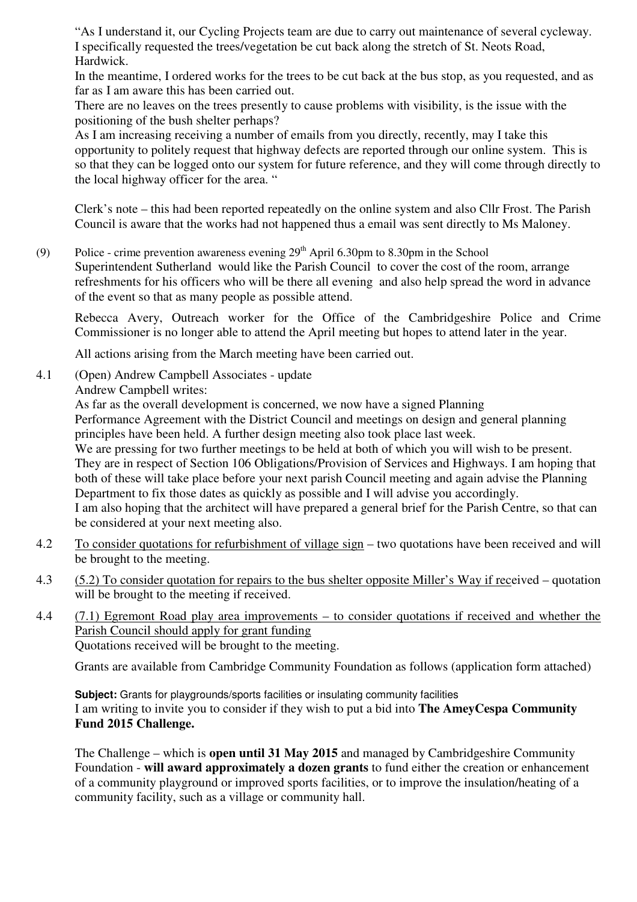"As I understand it, our Cycling Projects team are due to carry out maintenance of several cycleway. I specifically requested the trees/vegetation be cut back along the stretch of St. Neots Road, Hardwick.

In the meantime, I ordered works for the trees to be cut back at the bus stop, as you requested, and as far as I am aware this has been carried out.

There are no leaves on the trees presently to cause problems with visibility, is the issue with the positioning of the bush shelter perhaps?

As I am increasing receiving a number of emails from you directly, recently, may I take this opportunity to politely request that highway defects are reported through our online system. This is so that they can be logged onto our system for future reference, and they will come through directly to the local highway officer for the area. "

Clerk's note – this had been reported repeatedly on the online system and also Cllr Frost. The Parish Council is aware that the works had not happened thus a email was sent directly to Ms Maloney.

(9) Police - crime prevention awareness evening  $29<sup>th</sup>$  April 6.30pm to 8.30pm in the School Superintendent Sutherland would like the Parish Council to cover the cost of the room, arrange refreshments for his officers who will be there all evening and also help spread the word in advance of the event so that as many people as possible attend.

Rebecca Avery, Outreach worker for the Office of the Cambridgeshire Police and Crime Commissioner is no longer able to attend the April meeting but hopes to attend later in the year.

All actions arising from the March meeting have been carried out.

4.1 (Open) Andrew Campbell Associates - update

Andrew Campbell writes:

As far as the overall development is concerned, we now have a signed Planning Performance Agreement with the District Council and meetings on design and general planning principles have been held. A further design meeting also took place last week. We are pressing for two further meetings to be held at both of which you will wish to be present. They are in respect of Section 106 Obligations/Provision of Services and Highways. I am hoping that both of these will take place before your next parish Council meeting and again advise the Planning Department to fix those dates as quickly as possible and I will advise you accordingly. I am also hoping that the architect will have prepared a general brief for the Parish Centre, so that can be considered at your next meeting also.

- 4.2 To consider quotations for refurbishment of village sign two quotations have been received and will be brought to the meeting.
- 4.3 (5.2) To consider quotation for repairs to the bus shelter opposite Miller's Way if received quotation will be brought to the meeting if received.
- 4.4 (7.1) Egremont Road play area improvements to consider quotations if received and whether the Parish Council should apply for grant funding Quotations received will be brought to the meeting.

Grants are available from Cambridge Community Foundation as follows (application form attached)

**Subject:** Grants for playgrounds/sports facilities or insulating community facilities I am writing to invite you to consider if they wish to put a bid into **The AmeyCespa Community Fund 2015 Challenge.** 

The Challenge – which is **open until 31 May 2015** and managed by Cambridgeshire Community Foundation - **will award approximately a dozen grants** to fund either the creation or enhancement of a community playground or improved sports facilities, or to improve the insulation/heating of a community facility, such as a village or community hall.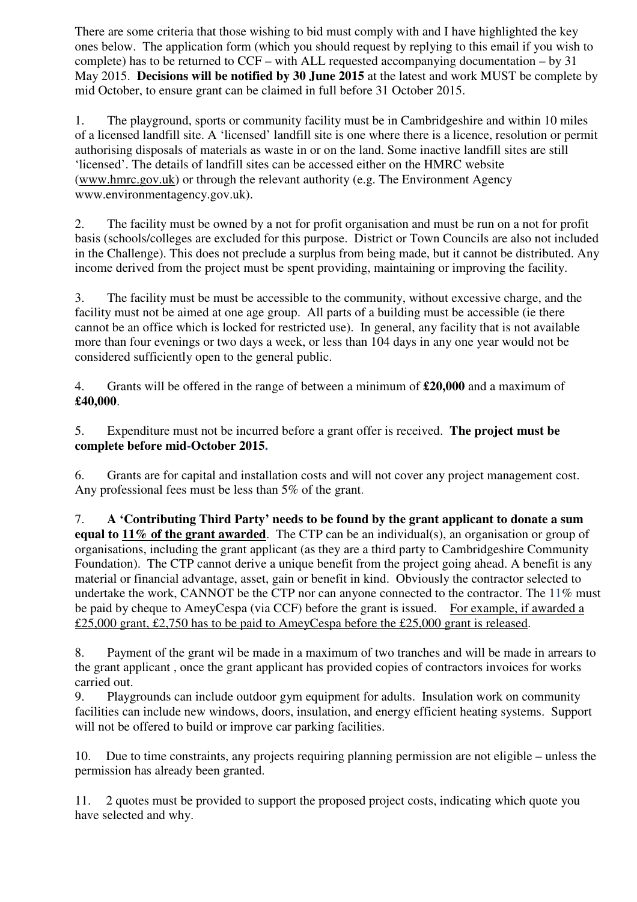There are some criteria that those wishing to bid must comply with and I have highlighted the key ones below. The application form (which you should request by replying to this email if you wish to complete) has to be returned to CCF – with ALL requested accompanying documentation – by 31 May 2015. **Decisions will be notified by 30 June 2015** at the latest and work MUST be complete by mid October, to ensure grant can be claimed in full before 31 October 2015.

1. The playground, sports or community facility must be in Cambridgeshire and within 10 miles of a licensed landfill site. A 'licensed' landfill site is one where there is a licence, resolution or permit authorising disposals of materials as waste in or on the land. Some inactive landfill sites are still 'licensed'. The details of landfill sites can be accessed either on the HMRC website (www.hmrc.gov.uk) or through the relevant authority (e.g. The Environment Agency www.environmentagency.gov.uk).

2. The facility must be owned by a not for profit organisation and must be run on a not for profit basis (schools/colleges are excluded for this purpose. District or Town Councils are also not included in the Challenge). This does not preclude a surplus from being made, but it cannot be distributed. Any income derived from the project must be spent providing, maintaining or improving the facility.

3. The facility must be must be accessible to the community, without excessive charge, and the facility must not be aimed at one age group. All parts of a building must be accessible (ie there cannot be an office which is locked for restricted use). In general, any facility that is not available more than four evenings or two days a week, or less than 104 days in any one year would not be considered sufficiently open to the general public.

4. Grants will be offered in the range of between a minimum of **£20,000** and a maximum of **£40,000**.

5. Expenditure must not be incurred before a grant offer is received. **The project must be complete before mid-October 2015.**

6. Grants are for capital and installation costs and will not cover any project management cost. Any professional fees must be less than 5% of the grant.

7. **A 'Contributing Third Party' needs to be found by the grant applicant to donate a sum equal to 11% of the grant awarded**. The CTP can be an individual(s), an organisation or group of organisations, including the grant applicant (as they are a third party to Cambridgeshire Community Foundation). The CTP cannot derive a unique benefit from the project going ahead. A benefit is any material or financial advantage, asset, gain or benefit in kind. Obviously the contractor selected to undertake the work, CANNOT be the CTP nor can anyone connected to the contractor. The 11% must be paid by cheque to AmeyCespa (via CCF) before the grant is issued. For example, if awarded a £25,000 grant, £2,750 has to be paid to AmeyCespa before the £25,000 grant is released.

8. Payment of the grant wil be made in a maximum of two tranches and will be made in arrears to the grant applicant , once the grant applicant has provided copies of contractors invoices for works carried out.

9. Playgrounds can include outdoor gym equipment for adults. Insulation work on community facilities can include new windows, doors, insulation, and energy efficient heating systems. Support will not be offered to build or improve car parking facilities.

10. Due to time constraints, any projects requiring planning permission are not eligible – unless the permission has already been granted.

11. 2 quotes must be provided to support the proposed project costs, indicating which quote you have selected and why.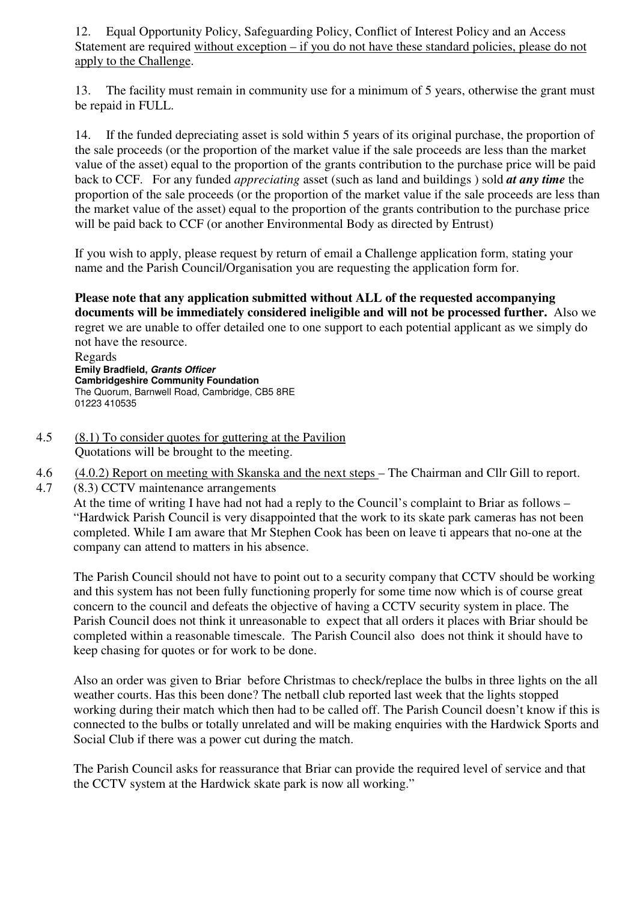12. Equal Opportunity Policy, Safeguarding Policy, Conflict of Interest Policy and an Access Statement are required without exception – if you do not have these standard policies, please do not apply to the Challenge.

13. The facility must remain in community use for a minimum of 5 years, otherwise the grant must be repaid in FULL.

14. If the funded depreciating asset is sold within 5 years of its original purchase, the proportion of the sale proceeds (or the proportion of the market value if the sale proceeds are less than the market value of the asset) equal to the proportion of the grants contribution to the purchase price will be paid back to CCF. For any funded *appreciating* asset (such as land and buildings ) sold *at any time* the proportion of the sale proceeds (or the proportion of the market value if the sale proceeds are less than the market value of the asset) equal to the proportion of the grants contribution to the purchase price will be paid back to CCF (or another Environmental Body as directed by Entrust)

If you wish to apply, please request by return of email a Challenge application form, stating your name and the Parish Council/Organisation you are requesting the application form for.

### **Please note that any application submitted without ALL of the requested accompanying documents will be immediately considered ineligible and will not be processed further.** Also we

regret we are unable to offer detailed one to one support to each potential applicant as we simply do not have the resource.

 Regards **Emily Bradfield, Grants Officer Cambridgeshire Community Foundation** The Quorum, Barnwell Road, Cambridge, CB5 8RE 01223 410535

- 4.5 (8.1) To consider quotes for guttering at the Pavilion Quotations will be brought to the meeting.
- 4.6 (4.0.2) Report on meeting with Skanska and the next steps The Chairman and Cllr Gill to report.
- 4.7 (8.3) CCTV maintenance arrangements

At the time of writing I have had not had a reply to the Council's complaint to Briar as follows – "Hardwick Parish Council is very disappointed that the work to its skate park cameras has not been completed. While I am aware that Mr Stephen Cook has been on leave ti appears that no-one at the company can attend to matters in his absence.

The Parish Council should not have to point out to a security company that CCTV should be working and this system has not been fully functioning properly for some time now which is of course great concern to the council and defeats the objective of having a CCTV security system in place. The Parish Council does not think it unreasonable to expect that all orders it places with Briar should be completed within a reasonable timescale. The Parish Council also does not think it should have to keep chasing for quotes or for work to be done.

Also an order was given to Briar before Christmas to check/replace the bulbs in three lights on the all weather courts. Has this been done? The netball club reported last week that the lights stopped working during their match which then had to be called off. The Parish Council doesn't know if this is connected to the bulbs or totally unrelated and will be making enquiries with the Hardwick Sports and Social Club if there was a power cut during the match.

The Parish Council asks for reassurance that Briar can provide the required level of service and that the CCTV system at the Hardwick skate park is now all working."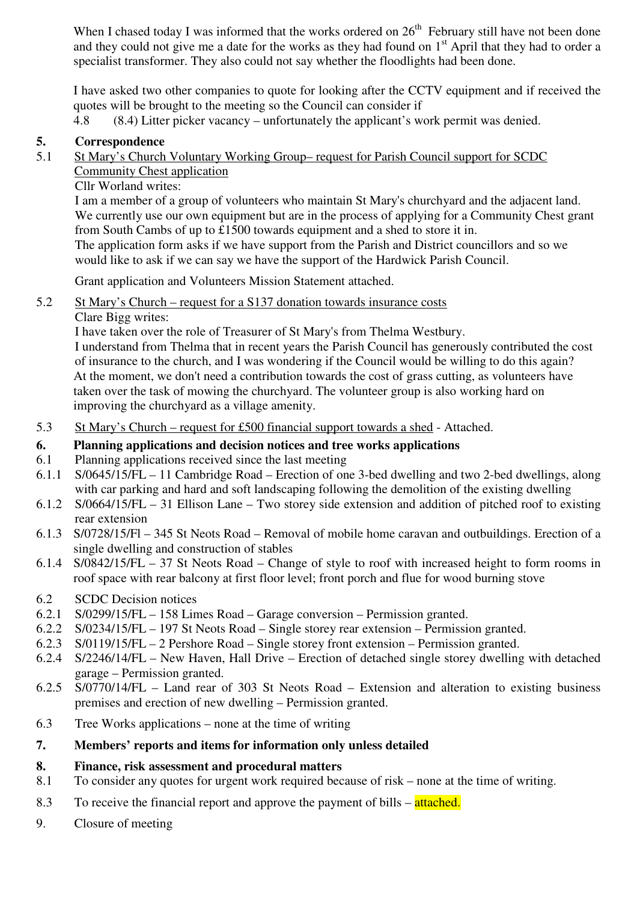When I chased today I was informed that the works ordered on  $26<sup>th</sup>$  February still have not been done and they could not give me a date for the works as they had found on  $1<sup>st</sup>$  April that they had to order a specialist transformer. They also could not say whether the floodlights had been done.

I have asked two other companies to quote for looking after the CCTV equipment and if received the quotes will be brought to the meeting so the Council can consider if

4.8 (8.4) Litter picker vacancy – unfortunately the applicant's work permit was denied.

### **5. Correspondence**

5.1 St Mary's Church Voluntary Working Group– request for Parish Council support for SCDC Community Chest application

Cllr Worland writes:

I am a member of a group of volunteers who maintain St Mary's churchyard and the adjacent land. We currently use our own equipment but are in the process of applying for a Community Chest grant from South Cambs of up to £1500 towards equipment and a shed to store it in. The application form asks if we have support from the Parish and District councillors and so we would like to ask if we can say we have the support of the Hardwick Parish Council.

Grant application and Volunteers Mission Statement attached.

- 5.2 St Mary's Church request for a S137 donation towards insurance costs
	- Clare Bigg writes:

I have taken over the role of Treasurer of St Mary's from Thelma Westbury.

I understand from Thelma that in recent years the Parish Council has generously contributed the cost of insurance to the church, and I was wondering if the Council would be willing to do this again? At the moment, we don't need a contribution towards the cost of grass cutting, as volunteers have taken over the task of mowing the churchyard. The volunteer group is also working hard on improving the churchyard as a village amenity.

5.3 St Mary's Church – request for £500 financial support towards a shed - Attached.

#### **6. Planning applications and decision notices and tree works applications**

- 6.1 Planning applications received since the last meeting
- 6.1.1 S/0645/15/FL 11 Cambridge Road Erection of one 3-bed dwelling and two 2-bed dwellings, along with car parking and hard and soft landscaping following the demolition of the existing dwelling
- 6.1.2 S/0664/15/FL 31 Ellison Lane Two storey side extension and addition of pitched roof to existing rear extension
- 6.1.3 S/0728/15/Fl 345 St Neots Road Removal of mobile home caravan and outbuildings. Erection of a single dwelling and construction of stables
- 6.1.4 S/0842/15/FL 37 St Neots Road Change of style to roof with increased height to form rooms in roof space with rear balcony at first floor level; front porch and flue for wood burning stove
- 6.2 SCDC Decision notices
- 6.2.1 S/0299/15/FL 158 Limes Road Garage conversion Permission granted.
- 6.2.2 S/0234/15/FL 197 St Neots Road Single storey rear extension Permission granted.
- 6.2.3 S/0119/15/FL 2 Pershore Road Single storey front extension Permission granted.
- 6.2.4 S/2246/14/FL New Haven, Hall Drive Erection of detached single storey dwelling with detached garage – Permission granted.
- 6.2.5 S/0770/14/FL Land rear of 303 St Neots Road Extension and alteration to existing business premises and erection of new dwelling – Permission granted.
- 6.3 Tree Works applications none at the time of writing

## **7. Members' reports and items for information only unless detailed**

## **8. Finance, risk assessment and procedural matters**

- 8.1 To consider any quotes for urgent work required because of risk none at the time of writing.
- 8.3 To receive the financial report and approve the payment of bills attached.
- 9. Closure of meeting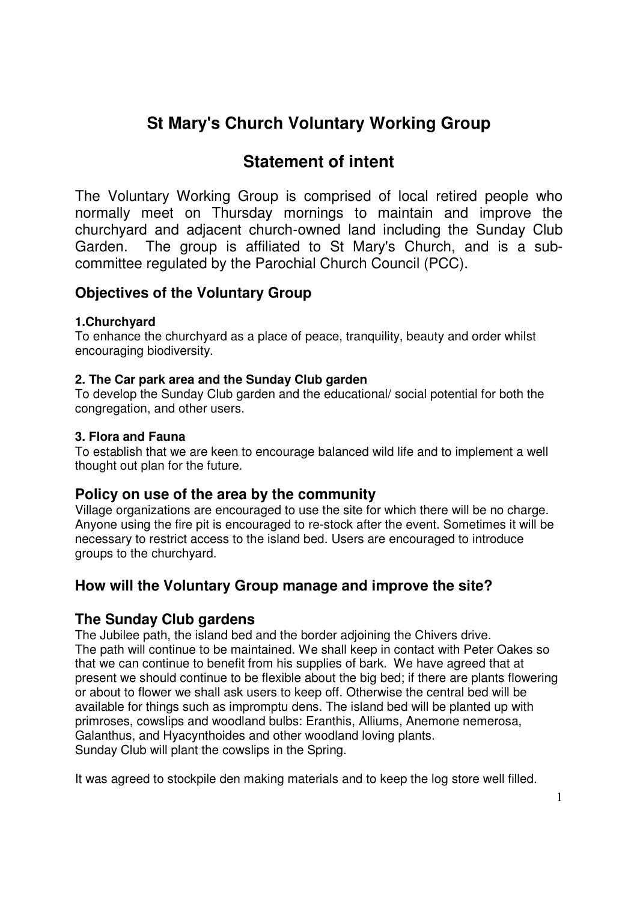# **St Mary's Church Voluntary Working Group**

# **Statement of intent**

The Voluntary Working Group is comprised of local retired people who normally meet on Thursday mornings to maintain and improve the churchyard and adjacent church-owned land including the Sunday Club Garden. The group is affiliated to St Mary's Church, and is a subcommittee regulated by the Parochial Church Council (PCC).

### **Objectives of the Voluntary Group**

#### **1.Churchyard**

To enhance the churchyard as a place of peace, tranquility, beauty and order whilst encouraging biodiversity.

#### **2. The Car park area and the Sunday Club garden**

To develop the Sunday Club garden and the educational/ social potential for both the congregation, and other users.

#### **3. Flora and Fauna**

To establish that we are keen to encourage balanced wild life and to implement a well thought out plan for the future.

### **Policy on use of the area by the community**

Village organizations are encouraged to use the site for which there will be no charge. Anyone using the fire pit is encouraged to re-stock after the event. Sometimes it will be necessary to restrict access to the island bed. Users are encouraged to introduce groups to the churchyard.

### **How will the Voluntary Group manage and improve the site?**

### **The Sunday Club gardens**

The Jubilee path, the island bed and the border adjoining the Chivers drive. The path will continue to be maintained. We shall keep in contact with Peter Oakes so that we can continue to benefit from his supplies of bark. We have agreed that at present we should continue to be flexible about the big bed; if there are plants flowering or about to flower we shall ask users to keep off. Otherwise the central bed will be available for things such as impromptu dens. The island bed will be planted up with primroses, cowslips and woodland bulbs: Eranthis, Alliums, Anemone nemerosa, Galanthus, and Hyacynthoides and other woodland loving plants. Sunday Club will plant the cowslips in the Spring.

It was agreed to stockpile den making materials and to keep the log store well filled.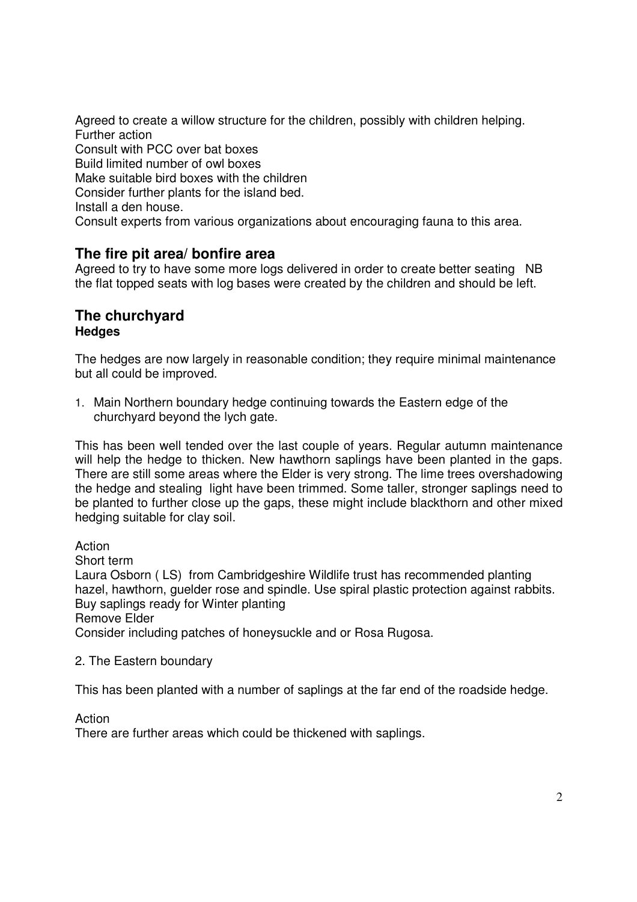Agreed to create a willow structure for the children, possibly with children helping. Further action Consult with PCC over bat boxes Build limited number of owl boxes Make suitable bird boxes with the children Consider further plants for the island bed. Install a den house. Consult experts from various organizations about encouraging fauna to this area.

### **The fire pit area/ bonfire area**

Agreed to try to have some more logs delivered in order to create better seating NB the flat topped seats with log bases were created by the children and should be left.

#### **The churchyard Hedges**

The hedges are now largely in reasonable condition; they require minimal maintenance but all could be improved.

1. Main Northern boundary hedge continuing towards the Eastern edge of the churchyard beyond the lych gate.

This has been well tended over the last couple of years. Regular autumn maintenance will help the hedge to thicken. New hawthorn saplings have been planted in the gaps. There are still some areas where the Elder is very strong. The lime trees overshadowing the hedge and stealing light have been trimmed. Some taller, stronger saplings need to be planted to further close up the gaps, these might include blackthorn and other mixed hedging suitable for clay soil.

Action Short term Laura Osborn ( LS) from Cambridgeshire Wildlife trust has recommended planting hazel, hawthorn, guelder rose and spindle. Use spiral plastic protection against rabbits. Buy saplings ready for Winter planting Remove Elder Consider including patches of honeysuckle and or Rosa Rugosa.

#### 2. The Eastern boundary

This has been planted with a number of saplings at the far end of the roadside hedge.

Action

There are further areas which could be thickened with saplings.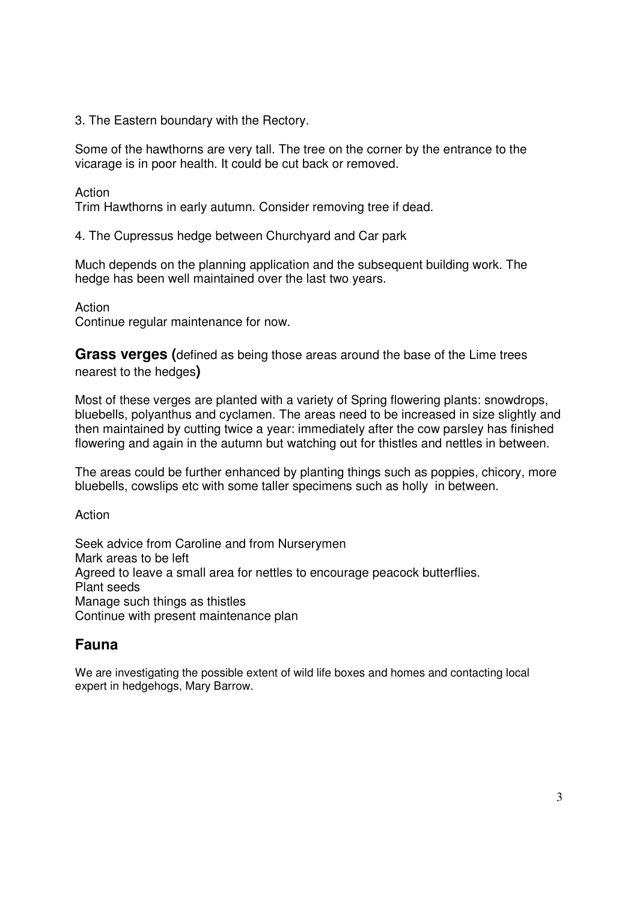3. The Eastern boundary with the Rectory.

Some of the hawthorns are very tall. The tree on the corner by the entrance to the vicarage is in poor health. It could be cut back or removed.

Action

Trim Hawthorns in early autumn. Consider removing tree if dead.

4. The Cupressus hedge between Churchyard and Car park

Much depends on the planning application and the subsequent building work. The hedge has been well maintained over the last two years.

Action

Continue regular maintenance for now.

**Grass verges (**defined as being those areas around the base of the Lime trees nearest to the hedges**)** 

Most of these verges are planted with a variety of Spring flowering plants: snowdrops, bluebells, polyanthus and cyclamen. The areas need to be increased in size slightly and then maintained by cutting twice a year: immediately after the cow parsley has finished flowering and again in the autumn but watching out for thistles and nettles in between.

The areas could be further enhanced by planting things such as poppies, chicory, more bluebells, cowslips etc with some taller specimens such as holly in between.

Action

Seek advice from Caroline and from Nurserymen Mark areas to be left Agreed to leave a small area for nettles to encourage peacock butterflies. Plant seeds Manage such things as thistles Continue with present maintenance plan

### **Fauna**

We are investigating the possible extent of wild life boxes and homes and contacting local expert in hedgehogs, Mary Barrow.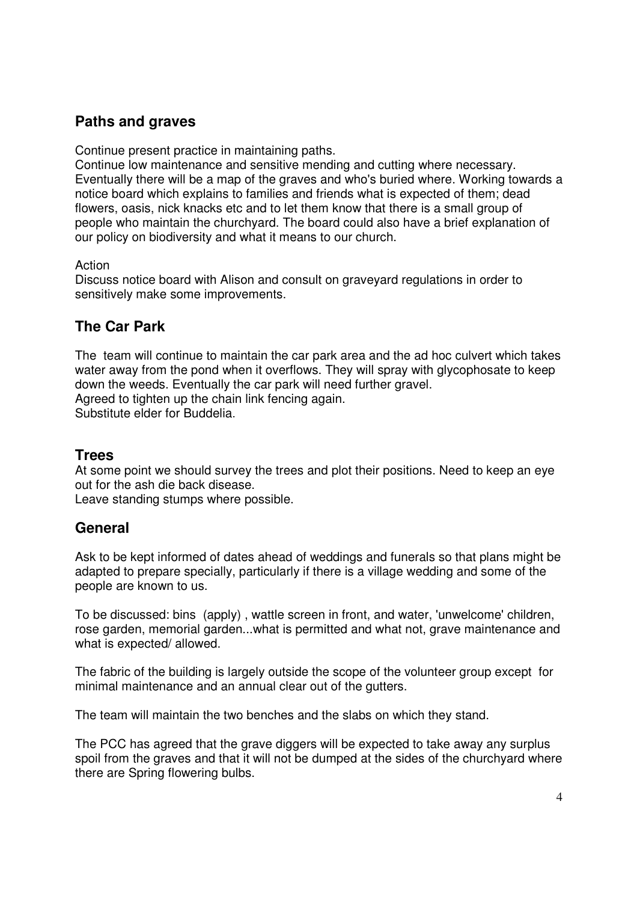### **Paths and graves**

Continue present practice in maintaining paths.

Continue low maintenance and sensitive mending and cutting where necessary. Eventually there will be a map of the graves and who's buried where. Working towards a notice board which explains to families and friends what is expected of them; dead flowers, oasis, nick knacks etc and to let them know that there is a small group of people who maintain the churchyard. The board could also have a brief explanation of our policy on biodiversity and what it means to our church.

#### Action

Discuss notice board with Alison and consult on graveyard regulations in order to sensitively make some improvements.

### **The Car Park**

The team will continue to maintain the car park area and the ad hoc culvert which takes water away from the pond when it overflows. They will spray with glycophosate to keep down the weeds. Eventually the car park will need further gravel. Agreed to tighten up the chain link fencing again.

Substitute elder for Buddelia.

### **Trees**

At some point we should survey the trees and plot their positions. Need to keep an eye out for the ash die back disease.

Leave standing stumps where possible.

### **General**

Ask to be kept informed of dates ahead of weddings and funerals so that plans might be adapted to prepare specially, particularly if there is a village wedding and some of the people are known to us.

To be discussed: bins (apply) , wattle screen in front, and water, 'unwelcome' children, rose garden, memorial garden...what is permitted and what not, grave maintenance and what is expected/ allowed.

The fabric of the building is largely outside the scope of the volunteer group except for minimal maintenance and an annual clear out of the gutters.

The team will maintain the two benches and the slabs on which they stand.

The PCC has agreed that the grave diggers will be expected to take away any surplus spoil from the graves and that it will not be dumped at the sides of the churchyard where there are Spring flowering bulbs.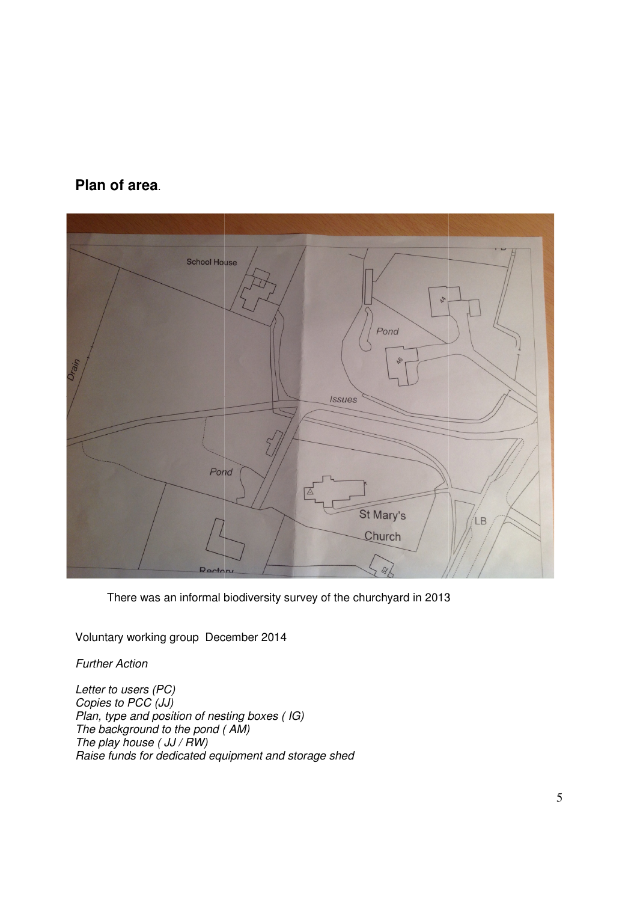### **Plan of area**.

| <b>School House</b> |
|---------------------|
|                     |
| AA                  |
|                     |
| Pond                |
|                     |
| 98<br>Drain         |
|                     |
| Issues              |
|                     |
|                     |
|                     |
| Pond                |
|                     |
| St Mary's           |
| LB                  |
| Church              |
|                     |
| Rectory<br>36/      |

There was an informal biodiversity survey of the churchyard in 2013

Voluntary working group December December 2014

Further Action

Letter to users (PC) Copies to PCC (JJ) Plan, type and position of nesting boxes (IG) The background to the pond (AM) The play house  $($  JJ  $/$  RW $)$ Raise funds for dedicated equipment and storage shed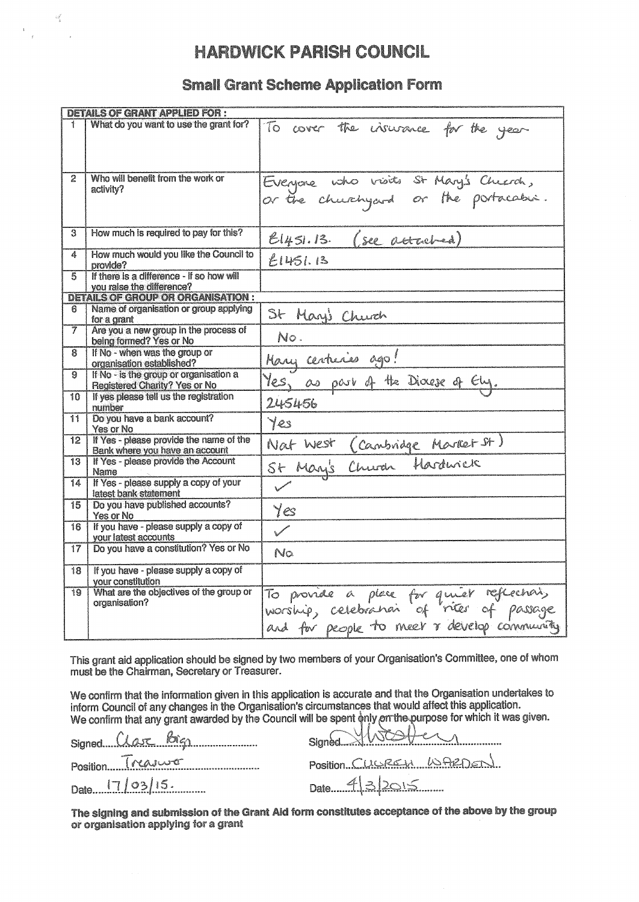# **HARDWICK PARISH COUNCIL**

#### **Small Grant Scheme Application Form**

|     | DETAILS OF GRANT APPLIED FOR :                                                 |                                                                                                                                     |  |  |  |  |  |  |
|-----|--------------------------------------------------------------------------------|-------------------------------------------------------------------------------------------------------------------------------------|--|--|--|--|--|--|
|     | What do you want to use the grant for?                                         | To cover the insurance for the year                                                                                                 |  |  |  |  |  |  |
| 2   | Who will benefit from the work or<br>activity?                                 | Everyone who visits St Mary's Chuerch,                                                                                              |  |  |  |  |  |  |
| 3.  | How much is required to pay for this?                                          | El451.13. (see attached)                                                                                                            |  |  |  |  |  |  |
| 4   | How much would you like the Council to<br>provide?                             | E1451.13                                                                                                                            |  |  |  |  |  |  |
| 5   | If there is a difference - if so how will<br>you raise the difference?         |                                                                                                                                     |  |  |  |  |  |  |
|     | <b>DETAILS OF GROUP OR ORGANISATION :</b>                                      |                                                                                                                                     |  |  |  |  |  |  |
| 6.  | Name of organisation or group applying<br>for a grant                          | St Mary's Church                                                                                                                    |  |  |  |  |  |  |
| 7   | Are you a new group in the process of<br>being formed? Yes or No               | No.                                                                                                                                 |  |  |  |  |  |  |
| 8.  | If No - when was the group or<br>organisation established?                     | Mary centuries ago!                                                                                                                 |  |  |  |  |  |  |
| 9   | If No - is the group or organisation a<br><b>Registered Charity? Yes or No</b> | les, as park of the Diocese of Ely.                                                                                                 |  |  |  |  |  |  |
| 10  | If yes please tell us the registration<br>number                               | 245456                                                                                                                              |  |  |  |  |  |  |
| 11. | Do you have a bank account?<br>Yes or No                                       | Yes                                                                                                                                 |  |  |  |  |  |  |
| 12  | If Yes - please provide the name of the<br>Bank where you have an account      | Nat West (Cambridge Market St)<br>St Many's Church Hardwick                                                                         |  |  |  |  |  |  |
| 13  | If Yes - please provide the Account<br>Name                                    |                                                                                                                                     |  |  |  |  |  |  |
| 14  | If Yes - please supply a copy of your<br>latest bank statement                 |                                                                                                                                     |  |  |  |  |  |  |
| 15  | Do you have published accounts?<br>Yes or No                                   | Yes                                                                                                                                 |  |  |  |  |  |  |
| 16  | If you have - please supply a copy of<br>your latest accounts                  |                                                                                                                                     |  |  |  |  |  |  |
| 17  | Do you have a constitution? Yes or No                                          | No                                                                                                                                  |  |  |  |  |  |  |
| 18  | If you have - please supply a copy of<br>your constitution                     |                                                                                                                                     |  |  |  |  |  |  |
| 19  | What are the objectives of the group or<br>organisation?                       | To provide a place for quiet reflections,<br>worship, celebration of riter of passage<br>and for people to meet & develop community |  |  |  |  |  |  |

This grant aid application should be signed by two members of your Organisation's Committee, one of whom must be the Chairman, Secretary or Treasurer.

We confirm that the information given in this application is accurate and that the Organisation undertakes to inform Council of any changes in the Organisation's circumstances that would affect this application. We confirm that any grant awarded by the Council will be spent only on the purpose for which it was given.

| Signed CLase Bigs |
|-------------------|
|                   |
|                   |

 $\frac{1}{2} \frac{q^2}{k}$ 

booker Signed 3

Position CLUSRELA LOARDED

Date 9/2015

The signing and submission of the Grant Aid form constitutes acceptance of the above by the group or organisation applying for a grant